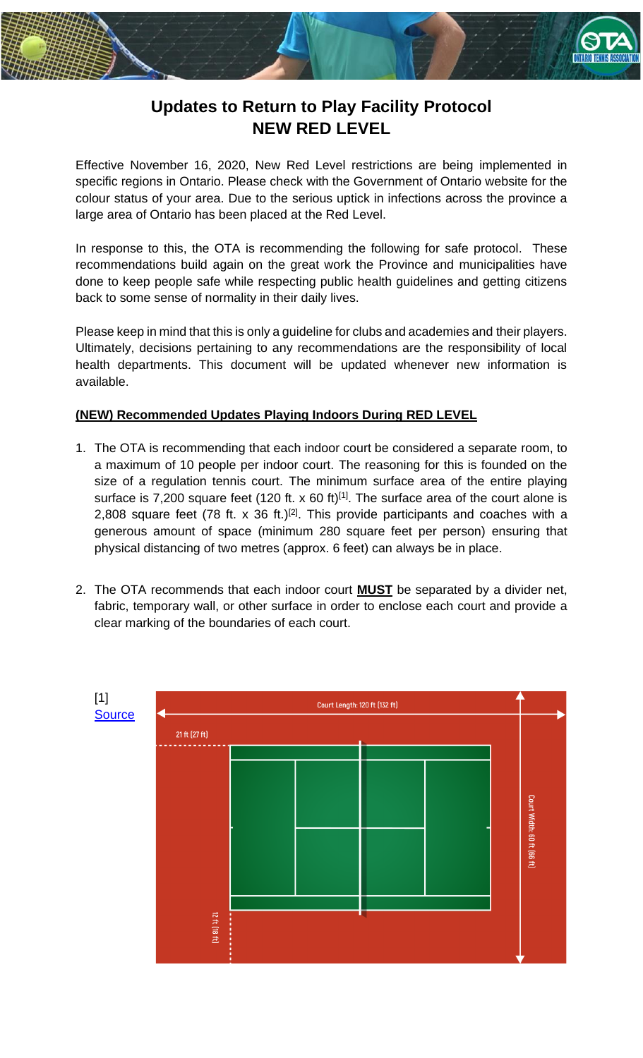

## **Updates to Return to Play Facility Protocol NEW RED LEVEL**

Effective November 16, 2020, New Red Level restrictions are being implemented in specific regions in Ontario. Please check with the Government of Ontario website for the colour status of your area. Due to the serious uptick in infections across the province a large area of Ontario has been placed at the Red Level.

In response to this, the OTA is recommending the following for safe protocol. These recommendations build again on the great work the Province and municipalities have done to keep people safe while respecting public health guidelines and getting citizens back to some sense of normality in their daily lives.

Please keep in mind that this is only a guideline for clubs and academies and their players. Ultimately, decisions pertaining to any recommendations are the responsibility of local health departments. This document will be updated whenever new information is available.

## **(NEW) Recommended Updates Playing Indoors During RED LEVEL**

- 1. The OTA is recommending that each indoor court be considered a separate room, to a maximum of 10 people per indoor court. The reasoning for this is founded on the size of a regulation tennis court. The minimum surface area of the entire playing surface is 7,200 square feet (120 ft. x 60 ft)<sup>[1]</sup>. The surface area of the court alone is 2,808 square feet (78 ft. x 36 ft.)<sup>[2]</sup>. This provide participants and coaches with a generous amount of space (minimum 280 square feet per person) ensuring that physical distancing of two metres (approx. 6 feet) can always be in place.
- 2. The OTA recommends that each indoor court **MUST** be separated by a divider net, fabric, temporary wall, or other surface in order to enclose each court and provide a clear marking of the boundaries of each court.